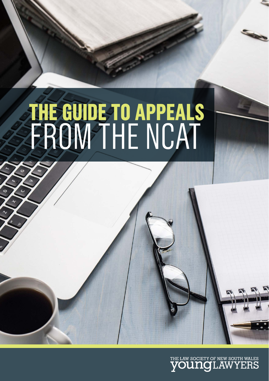

# **THE GUIDE TO APPEALS** FROM THE NCAT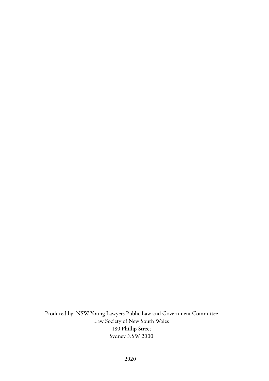Produced by: NSW Young Lawyers Public Law and Government Committee Law Society of New South Wales 180 Phillip Street Sydney NSW 2000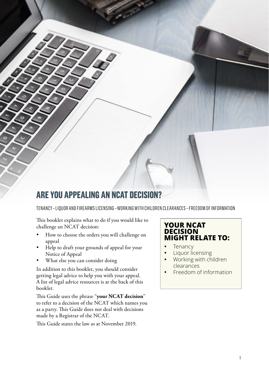# **ARE YOU APPEALING AN NCAT DECISION?**

TENANCY – LIQUOR AND FIREARMS LICENSING – WORKING WITH CHILDREN CLEARANCES – FREEDOM OF INFORMATION

This booklet explains what to do if you would like to challenge an NCAT decision:

- How to choose the orders you will challenge on appeal
- Help to draft your grounds of appeal for your Notice of Appeal
- What else you can consider doing

In addition to this booklet, you should consider getting legal advice to help you with your appeal. A list of legal advice resources is at the back of this booklet.

This Guide uses the phrase "**your NCAT decision**" to refer to a decision of the NCAT which names you as a party. This Guide does not deal with decisions made by a Registrar of the NCAT.

This Guide states the law as at November 2019.

#### **YOUR NCAT DECISION MIGHT RELATE TO:**

- Tenancy
- Liquor licensing
- Working with children clearances
- **Freedom of information**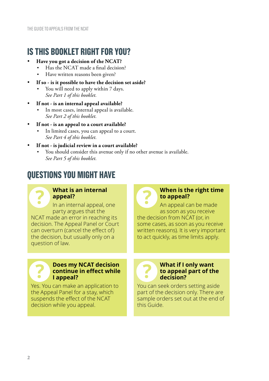# **IS THIS BOOKLET RIGHT FOR YOU?**

- Have you got a decision of the NCAT?
	- Has the NCAT made a final decision?
	- Have written reasons been given?
- If so is it possible to have the decision set aside?
	- You will need to apply within 7 days. *See Part 1 of this booklet.*
- If not is an internal appeal available?
	- In most cases, internal appeal is available. *See Part 2 of this booklet.*
- If not is an appeal to a court available?
	- In limited cases, you can appeal to a court. *See Part 4 of this booklet.*
- If not is judicial review in a court available?
	- You should consider this avenue only if no other avenue is available. *See Part 5 of this booklet.*

# **QUESTIONS YOU MIGHT HAVE**

## **What is an internal appeal?**

In an internal appeal, one party argues that the NCAT made an error in reaching its decision. The Appeal Panel or Court can overturn (cancel the effect of) the decision, but usually only on a question of law.

#### **When is the right time to appeal?**

An appeal can be made as soon as you receive the decision from NCAT (or, in some cases, as soon as you receive written reasons). It is very important to act quickly, as time limits apply.

#### **Does my NCAT decision continue in effect while I appeal?**

Yes. You can make an application to the Appeal Panel for a stay, which suspends the effect of the NCAT decision while you appeal.

You can seek orders setting aside part of the decision only. There are sample orders set out at the end of this Guide.

**decision?**

**What if I only want to appeal part of the**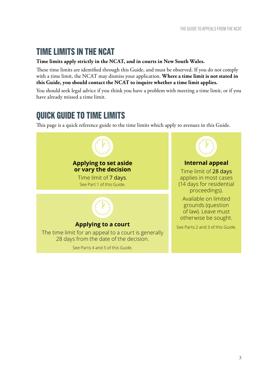# **TIME LIMITS IN THE NCAT**

#### **Time limits apply strictly in the NCAT, and in courts in New South Wales.**

These time limits are identified through this Guide, and must be observed. If you do not comply with a time limit, the NCAT may dismiss your application. **Where a time limit is not stated in this Guide, you should contact the NCAT to inquire whether a time limit applies.** 

You should seek legal advice if you think you have a problem with meeting a time limit, or if you have already missed a time limit.

# **QUICK GUIDE TO TIME LIMITS**

This page is a quick reference guide to the time limits which apply to avenues in this Guide.

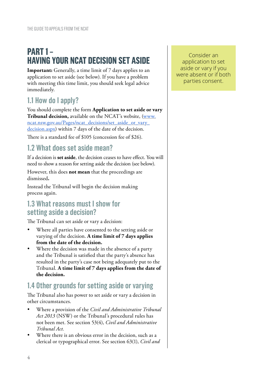# **PART 1 – HAVING YOUR NCAT DECISION SET ASIDE**

**Important:** Generally, a time limit of 7 days applies to an application to set aside (see below). If you have a problem with meeting this time limit, you should seek legal advice immediately.

# **1.1 How do I apply?**

You should complete the form **Application to set aside or vary Tribunal decision,** available on the NCAT's website, (www. ncat.nsw.gov.au/Pages/ncat\_decisions/set\_aside\_or\_vary\_ decision.aspx) within 7 days of the date of the decision.

There is a standard fee of \$105 (concession fee of \$26).

# **1.2 What does set aside mean?**

If a decision is **set aside**, the decision ceases to have effect. You will need to show a reason for setting aside the decision (see below).

However, this does **not mean** that the proceedings are dismissed**.**

Instead the Tribunal will begin the decision making process again.

## **1.3 What reasons must I show for setting aside a decision?**

The Tribunal can set aside or vary a decision:

- Where all parties have consented to the setting aside or varying of the decision. **A time limit of 7 days applies from the date of the decision.**
- Where the decision was made in the absence of a party and the Tribunal is satisfied that the party's absence has resulted in the party's case not being adequately put to the Tribunal. **A time limit of 7 days applies from the date of the decision.**

# **1.4 Other grounds for setting aside or varying**

The Tribunal also has power to set aside or vary a decision in other circumstances.

- • Where a provision of the *Civil and Administrative Tribunal Act 2013* (NSW) or the Tribunal's procedural rules has not been met. See section 53(4), *Civil and Administrative Tribunal Act.*
- Where there is an obvious error in the decision, such as a clerical or typographical error. See section 63(1), *Civil and*

Consider an application to set aside or vary if you were absent or if both parties consent.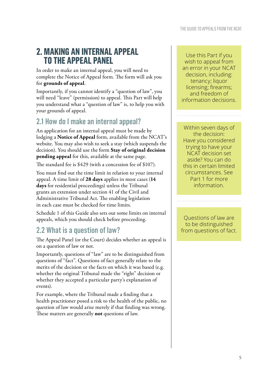# **2. MAKING AN INTERNAL APPEAL TO THE APPEAL PANEL**

In order to make an internal appeal, you will need to complete the Notice of Appeal form. The form will ask you for **grounds of appeal**.

Importantly, if you cannot identify a "question of law", you will need "leave" (permission) to appeal. This Part will help you understand what a "question of law" is, to help you with your grounds of appeal.

# **2.1 How do I make an internal appeal?**

An application for an internal appeal must be made by lodging a **Notice of Appeal** form, available from the NCAT's website. You may also wish to seek a stay (which suspends the decision). You should use the form **Stay of original decision pending appeal** for this, available at the same page.

The standard fee is \$429 (with a concession fee of \$107).

You must find out the time limit in relation to your internal appeal. A time limit of **28 days** applies in most cases (**14 days** for residential proceedings) unless the Tribunal grants an extension under section 41 of the Civil and Administrative Tribunal Act. The enabling legislation in each case must be checked for time limits.

Schedule 1 of this Guide also sets out some limits on internal appeals, which you should check before proceeding.

# **2.2 What is a question of law?**

The Appeal Panel (or the Court) decides whether an appeal is on a question of law or not.

Importantly, questions of "law" are to be distinguished from questions of "fact". Questions of fact generally relate to the merits of the decision or the facts on which it was based (e.g. whether the original Tribunal made the "right" decision or whether they accepted a particular party's explanation of events).

For example, where the Tribunal made a finding that a health practitioner posed a risk to the health of the public, no question of law would arise merely if that finding was wrong. These matters are generally **not** questions of law.

Use this Part if you wish to appeal from an error in your NCAT decision, including: tenancy; liquor licensing; firearms; and freedom of information decisions.

Within seven days of the decision: Have you considered trying to have your NCAT decision set aside? You can do this in certain limited circumstances. See Part 1 for more information.

Questions of law are to be distinguished from questions of fact.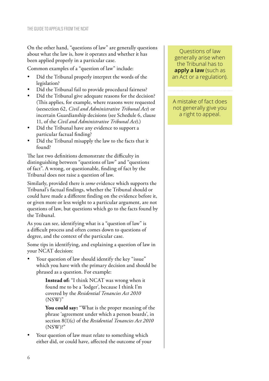On the other hand, "questions of law" are generally questions about what the law is, how it operates and whether it has been applied properly in a particular case.

Common examples of a "question of law" include:

- Did the Tribunal properly interpret the words of the legislation?
- Did the Tribunal fail to provide procedural fairness?
- Did the Tribunal give adequate reasons for the decision? (This applies, for example, where reasons were requested (seesection 62, *Civil and Administrative Tribunal Act*) or incertain Guardianship decisions (see Schedule 6, clause 11, of the *Civil and Administrative Tribunal Act*).)
- Did the Tribunal have any evidence to support a particular factual finding?
- Did the Tribunal misapply the law to the facts that it found?

The last two definitions demonstrate the difficulty in distinguishing between "questions of law" and "questions of fact". A wrong, or questionable, finding of fact by the Tribunal does not raise a question of law.

Similarly, provided there is *some* evidence which supports the Tribunal's factual findings, whether the Tribunal should or could have made a different finding on the evidence before it, or given more or less weight to a particular argument, are not questions of law, but questions which go to the facts found by the Tribunal.

As you can see, identifying what is a "question of law" is a difficult process and often comes down to questions of degree, and the context of the particular case.

Some tips in identifying, and explaining a question of law in your NCAT decision:

Your question of law should identify the key "issue" which you have with the primary decision and should be phrased as a question. For example:

> **Instead of:** "I think NCAT was wrong when it found me to be a 'lodger', because I think I'm covered by the *Residential Tenancies Act 2010* (NSW)"

**You could say:** "What is the proper meaning of the phrase 'agreement under which a person boards', in section 8(1)(c) of the *Residential Tenancies Act 2010* (NSW)?"

Your question of law must relate to something which either did, or could have, affected the outcome of your

Questions of law generally arise when the Tribunal has to **apply a law** (such as an Act or a regulation).

A mistake of fact does not generally give you a right to appeal.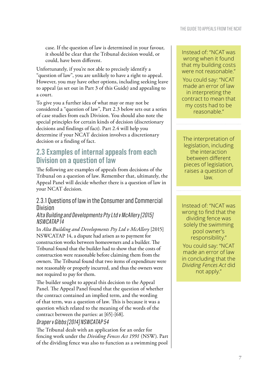case. If the question of law is determined in your favour, it should be clear that the Tribunal decision would, or could, have been different.

Unfortunately, if you're not able to precisely identify a "question of law", you are unlikely to have a right to appeal. However, you may have other options, including seeking leave to appeal (as set out in Part 3 of this Guide) and appealing to a court.

To give you a further idea of what may or may not be considered a "question of law", Part 2.3 below sets out a series of case studies from each Division. You should also note the special principles for certain kinds of decision (discretionary decisions and findings of fact). Part 2.4 will help you determine if your NCAT decision involves a discretionary decision or a finding of fact.

# **2.3 Examples of internal appeals from each Division on a question of law**

The following are examples of appeals from decisions of the Tribunal on a question of law. Remember that, ultimately, the Appeal Panel will decide whether there is a question of law in your NCAT decision.

#### 2.3.1 Questions of law in the Consumer and Commercial Division

#### Alta Building and Developments Pty Ltd v McAllery [2015] NSWCATAP 14

In *Alta Building and Developments Pty Ltd v McAllery* [2015] NSWCATAP 14, a dispute had arisen as to payment for construction works between homeowners and a builder. The Tribunal found that the builder had to show that the costs of construction were reasonable before claiming them from the owners. The Tribunal found that two items of expenditure were not reasonably or properly incurred, and thus the owners were not required to pay for them.

The builder sought to appeal this decision to the Appeal Panel. The Appeal Panel found that the question of whether the contract contained an implied term, and the wording of that term, was a question of law. This is because it was a question which related to the meaning of the words of the contract between the parties: at [65]-[68].

#### Draper v Gibbs [2014] NSWCATAP 54

The Tribunal dealt with an application for an order for fencing work under the *Dividing Fences Act 1991* (NSW). Part of the dividing fence was also to function as a swimming pool

Instead of: "NCAT was wrong when it found that my building costs were not reasonable."

You could say: "NCAT made an error of law in interpreting the contract to mean that my costs had to be reasonable."

The interpretation of legislation, including the interaction between different pieces of legislation, raises a question of law.

Instead of: "NCAT was wrong to find that the dividing fence was solely the swimming pool owner's responsibility."

You could say: "NCAT made an error of law in concluding that the *Dividing Fences Act* did not apply."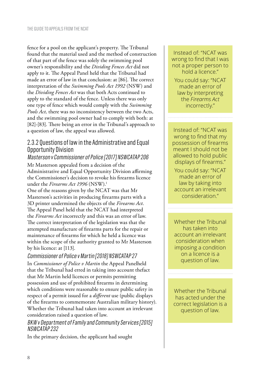fence for a pool on the applicant's property. The Tribunal found that the material used and the method of construction of that part of the fence was solely the swimming pool owner's responsibility and the *Dividing Fences Act* did not apply to it. The Appeal Panel held that the Tribunal had made an error of law in that conclusion: at [86]. The correct interpretation of the *Swimming Pools Act 1992* (NSW) and the *Dividing Fences Act* was that both Acts continued to apply to the standard of the fence. Unless there was only one type of fence which would comply with the *Swimming Pools Act,* there was no inconsistency between the two Acts, and the swimming pool owner had to comply with both: at [82]-[83]. There being an error in the Tribunal's approach to a question of law, the appeal was allowed.

#### 2.3.2 Questions of law in the Administrative and Equal Opportunity Division

## Masterson v Commissioner of Police [2017] NSWCATAP 206

Mr Masterson appealed from a decision of the Administrative and Equal Opportunity Division affirming the Commissioner's decision to revoke his firearms licence under the *Firearms Act 1996* (NSW).<sup>1</sup>

One of the reasons given by the NCAT was that Mr Masterson's activities in producing firearms parts with a 3D printer undermined the objects of the *Firearms Act*. The Appeal Panel held that the NCAT had interpreted the *Firearms Act* incorrectly and this was an error of law. The correct interpretation of the legislation was that the attempted manufacture of firearms parts for the repair or maintenance of firearms for which he held a licence was within the scope of the authority granted to Mr Masterson by his licence: at [113].

Commissioner of Police v Martin [2018] NSWCATAP 27 In *Commissioner of Police v Martin* the Appeal Panelheld that the Tribunal had erred in taking into account thefact that Mr Martin held licences or permits permitting possession and use of prohibited firearms in determining which conditions were reasonable to ensure public safety in respect of a permit issued for a *different* use (public displays of the firearms to commemorate Australian military history). Whether the Tribunal had taken into account an irrelevant consideration raised a question of law.

#### BKW v Department of Family and Community Services [2015] NSWCATAP 232

In the primary decision, the applicant had sought

Instead of: "NCAT was wrong to find that I was not a proper person to hold a licence."

You could say: "NCAT made an error of law by interpreting the *Firearms Act* incorrectly."

Instead of: "NCAT was wrong to find that my possession of firearms meant I should not be allowed to hold public displays of firearms."

You could say: "NCAT made an error of law by taking into account an irrelevant consideration."

Whether the Tribunal has taken into account an irrelevant consideration when imposing a condition on a licence is a question of law.

Whether the Tribunal has acted under the correct legislation is a question of law.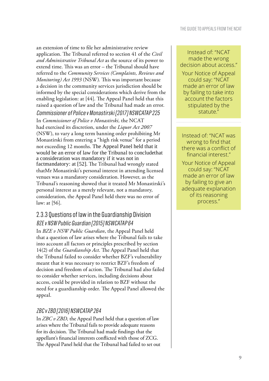an extension of time to file her administrative review application. The Tribunal referred to section 41 of the *Civil and Administrative Tribunal Act* as the source of its power to extend time. This was an error – the Tribunal should have referred to the *Community Services (Complaints, Reviews and Monitoring) Act 1993* (NSW)*.* This was important because a decision in the community services jurisdiction should be informed by the special considerations which derive from the enabling legislation: at [44]. The Appeal Panel held that this raised a question of law and the Tribunal had made an error. Commissioner of Police v Monastirski [2017] NSWCATAP 225 In *Commissioner of Police v Monastirski,* the NCAT had exercised its discretion, under the *Liquor Act 2007* (NSW), to vary a long term banning order prohibiting Mr Monastirski from entering a "high risk venue" for a period not exceeding 12 months. The Appeal Panel held that it would be an error of law for the Tribunal to concludethat a consideration was mandatory if it was not in factmandatory: at [52]. The Tribunal had wrongly stated thatMr Monastirski's personal interest in attending licensed venues was a mandatory consideration. However, as the Tribunal's reasoning showed that it treated Mr Monastirski's personal interest as a merely relevant, not a mandatory, consideration, the Appeal Panel held there was no error of law: at [56].

## 2.3.3 Questions of law in the Guardianship Division BZE v NSW Public Guardian [2015] NSWCATAP 64

In *BZE v NSW Public Guardian*, the Appeal Panel held that a question of law arises where the Tribunal fails to take into account all factors or principles prescribed by section 14(2) of the *Guardianship Act*. The Appeal Panel held that the Tribunal failed to consider whether BZF's vulnerability meant that it was necessary to restrict BZF's freedom of decision and freedom of action. The Tribunal had also failed to consider whether services, including decisions about access, could be provided in relation to BZF without the need for a guardianship order. The Appeal Panel allowed the appeal.

#### ZBC v ZBD [2016] NSWCATAP 264

In *ZBC v ZBD,* the Appeal Panel held that a question of law arises where the Tribunal fails to provide adequate reasons for its decision. The Tribunal had made findings that the appellant's financial interests conflicted with those of ZCG. The Appeal Panel held that the Tribunal had failed to set out

Instead of: "NCAT made the wrong decision about access." Your Notice of Appeal could say: "NCAT made an error of law by failing to take into account the factors stipulated by the statute."

Instead of: "NCAT was wrong to find that there was a conflict of financial interest"

Your Notice of Appeal could say: "NCAT made an error of law by failing to give an adequate explanation of its reasoning process."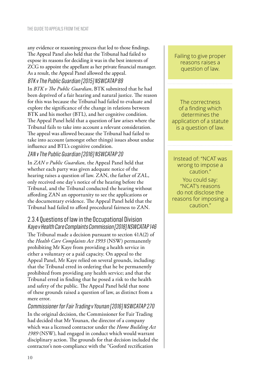any evidence or reasoning process that led to those findings. The Appeal Panel also held that the Tribunal had failed to expose its reasons for deciding it was in the best interests of ZCG to appoint the appellant as her private financial manager. As a result, the Appeal Panel allowed the appeal. BTK v The Public Guardian [2015] NSWCATAP 89

In *BTK v The Public Guardian*, BTK submitted that he had been deprived of a fair hearing and natural justice. The reason for this was because the Tribunal had failed to evaluate and explore the significance of the change in relations between BTK and his mother (BTL), and her cognitive condition. The Appeal Panel held that a question of law arises where the Tribunal fails to take into account a relevant consideration. The appeal was allowed because the Tribunal had failed to take into account (amongst other things) issues about undue influence and BTL's cognitive condition.

#### ZAN v The Public Guardian [2016] NSWCATAP 20

In *ZAN v Public Guardian,* the Appeal Panel held that whether each party was given adequate notice of the hearing raises a question of law. ZAN, the father of ZAL, only received one day's notice of the hearing before the Tribunal, and the Tribunal conducted the hearing without affording ZAN an opportunity to see the applications or the documentary evidence. The Appeal Panel held that the Tribunal had failed to afford procedural fairness to ZAN.

#### 2.3.4 Questions of law in the Occupational Division Kaye v Health Care Complaints Commission [2018] NSWCATAP 146

The Tribunal made a decision pursuant to section 41A(2) of the *Health Care Complaints Act 1993* (NSW) permanently prohibiting Mr Kaye from providing a health service in either a voluntary or a paid capacity. On appeal to the Appeal Panel, Mr Kaye relied on several grounds, including: that the Tribunal erred in ordering that he be permanently prohibited from providing any health service; and that the Tribunal erred in finding that he posed a risk to the health and safety of the public. The Appeal Panel held that none of these grounds raised a question of law, as distinct from a mere error.

#### Commissioner for Fair Trading v Younan [2016] NSWCATAP 270

In the original decision, the Commissioner for Fair Trading had decided that Mr Younan, the director of a company which was a licensed contractor under the *Home Building Act 1989* (NSW), had engaged in conduct which would warrant disciplinary action. The grounds for that decision included the contractor's non-compliance with the "Gosford rectification

Failing to give proper reasons raises a question of law.

The correctness of a finding which determines the application of a statute is a question of law.

Instead of: "NCAT was wrong to impose a caution."

You could say: "NCAT's reasons do not disclose the reasons for imposing a caution."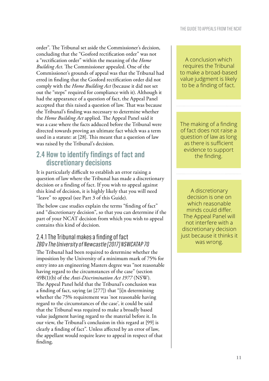order". The Tribunal set aside the Commissioner's decision, concluding that the "Gosford rectification order" was not a "rectification order" within the meaning of the *Home Building Act*. The Commissioner appealed. One of the Commissioner's grounds of appeal was that the Tribunal had erred in finding that the Gosford rectification order did not comply with the *Home Building Act* (because it did not set out the "steps" required for compliance with it). Although it had the appearance of a question of fact, the Appeal Panel accepted that this raised a question of law. That was because the Tribunal's finding was necessary to determine whether the *Home Building Act* applied. The Appeal Panel said it was a case where the facts adduced before the Tribunal were directed towards proving an ultimate fact which was a term used in a statute: at [28]. This meant that a question of law was raised by the Tribunal's decision.

# **2.4 How to identify findings of fact and discretionary decisions**

It is particularly difficult to establish an error raising a question of law where the Tribunal has made a discretionary decision or a finding of fact. If you wish to appeal against this kind of decision, it is highly likely that you will need "leave" to appeal (see Part 3 of this Guide).

The below case studies explain the terms "finding of fact" and "discretionary decision", so that you can determine if the part of your NCAT decision from which you wish to appeal contains this kind of decision.

### 2.4.1 The Tribunal makes a finding of fact ZBD v The University of Newcastle [2017] NSWCATAP 70

The Tribunal had been required to determine whether the imposition by the University of a minimum mark of 75% for entry into an engineering Masters degree was "not reasonable having regard to the circumstances of the case" (section 49B(1)(b) of the *Anti-Discrimination Act 1977* (NSW). The Appeal Panel held that the Tribunal's conclusion was a finding of fact, saying (at [277]) that "[i]n determining whether the 75% requirement was 'not reasonable having regard to the circumstances of the case', it could be said that the Tribunal was required to make a broadly based value judgment having regard to the material before it. In our view, the Tribunal's conclusion in this regard at [99] is clearly a finding of fact". Unless affected by an error of law, the appellant would require leave to appeal in respect of that finding.

A conclusion which requires the Tribunal to make a broad-based value judgment is likely to be a finding of fact.

The making of a finding of fact does not raise a question of law as long as there is sufficient evidence to support the finding.

A discretionary decision is one on which reasonable minds could differ. The Appeal Panel will not interfere with a discretionary decision just because it thinks it was wrong.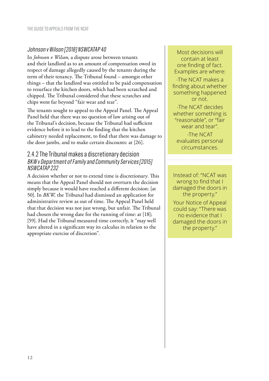#### Johnson v Wilson [2018] NSWCATAP 40

In *Johnson v Wilson*, a dispute arose between tenants and their landlord as to an amount of compensation owed in respect of damage allegedly caused by the tenants during the term of their tenancy. The Tribunal found – amongst other things – that the landlord was entitled to be paid compensation to resurface the kitchen doors, which had been scratched and chipped. The Tribunal considered that these scratches and chips went far beyond "fair wear and tear".

The tenants sought to appeal to the Appeal Panel. The Appeal Panel held that there was no question of law arising out of the Tribunal's decision, because the Tribunal had sufficient evidence before it to lead to the finding that the kitchen cabinetry needed replacement, to find that there was damage to the door jambs, and to make certain discounts: at [26].

#### 2.4.2 The Tribunal makes a discretionary decision BKW v Department of Family and Community Services [2015] NSWCATAP 232

A decision whether or not to extend time is discretionary. This means that the Appeal Panel should not overturn the decision simply because it would have reached a different decision: [at 50]. In *BKW,* the Tribunal had dismissed an application for administrative review as out of time. The Appeal Panel held that that decision was not just wrong, but unfair. The Tribunal had chosen the wrong date for the running of time: at [18]; [59]. Had the Tribunal measured time correctly, it "may well have altered in a significant way its calculus in relation to the appropriate exercise of discretion".

Most decisions will contain at least one finding of fact. Examples are where:

-The NCAT makes a finding about whether something happened or not.

-The NCAT decides whether something is "reasonable", or "fair wear and tear".

-The NCAT evaluates personal circumstances.

Instead of: "NCAT was wrong to find that I damaged the doors in the property." Your Notice of Appeal could say: "There was no evidence that I damaged the doors in the property."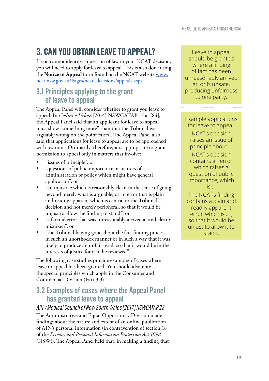# **3. CAN YOU OBTAIN LEAVE TO APPEAL?**

If you cannot identify a question of law in your NCAT decision, you will need to apply for leave to appeal. This is also done using the **Notice of Appeal** form found on the NCAT website www. ncat.nsw.gov.au/Pages/ncat\_decisions/appeals.aspx.

# **3.1 Principles applying to the grant of leave to appeal**

The Appeal Panel will consider whether to grant you leave to appeal. In *Collins v Urban* [2014] NSWCATAP 17 at [84], the Appeal Panel said that an applicant for leave to appeal must show "something more" than that the Tribunal was arguably wrong on the point raised. The Appeal Panel also said that applications for leave to appeal are to be approached with restraint. Ordinarily, therefore, it is appropriate to grant permission to appeal only in matters that involve:

- "issues of principle"; or
- • "questions of public importance or matters of administration or policy which might have general application"; or
- "an injustice which is reasonably clear, in the sense of going beyond merely what is arguable, or an error that is plain and readily apparent which is central to the Tribunal's decision and not merely peripheral, so that it would be unjust to allow the finding to stand"; or
- "a factual error that was unreasonably arrived at and clearly mistaken"; or
- "the Tribunal having gone about the fact finding process in such an unorthodox manner or in such a way that it was likely to produce an unfair result so that it would be in the interests of justice for it to be reviewed".

The following case studies provide examples of cases where leave to appeal has been granted. You should also note the special principles which apply in the Consumer and Commercial Division (Part 3.3).

## **3.2 Examples of cases where the Appeal Panel has granted leave to appeal**

#### AIN v Medical Council of New South Wales [2017] NSWCATAP 23

The Administrative and Equal Opportunity Division made findings about the nature and extent of an online publication of AIN's personal information (in contravention of section 18 of the *Privacy and Personal Information Protection Act 1998*  (NSW)). The Appeal Panel held that, in making a finding that

Leave to appeal should be granted where a finding of fact has been unreasonably arrived at, or is unsafe, producing unfairness to one party.

Example applications for leave to appeal:

NCAT's decision raises an issue of principle about …

NCAT's decision contains an error which raises a question of public importance, which is …

The NCAT's finding contains a plain and readily apparent error, which is … , so that it would be unjust to allow it to stand.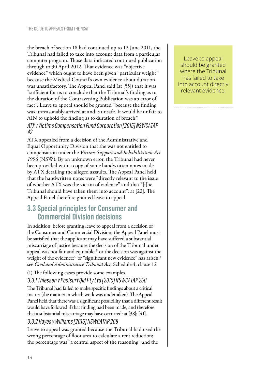the breach of section 18 had continued up to 12 June 2011, the Tribunal had failed to take into account data from a particular computer program. Those data indicated continued publication through to 30 April 2012. That evidence was "objective evidence" which ought to have been given "particular weight" because the Medical Council's own evidence about duration was unsatisfactory. The Appeal Panel said (at [55]) that it was "sufficient for us to conclude that the Tribunal's finding as to the duration of the Contravening Publication was an error of fact". Leave to appeal should be granted "because the finding was unreasonably arrived at and is unsafe. It would be unfair to AIN to uphold the finding as to duration of breach".

#### ATX v Victims Compensation Fund Corporation [2015] NSWCATAP 42

ATX appealed from a decision of the Administrative and Equal Opportunity Division that she was not entitled to compensation under the *Victims Support and Rehabilitation Act 1996* (NSW). By an unknown error, the Tribunal had never been provided with a copy of some handwritten notes made by ATX detailing the alleged assaults. The Appeal Panel held that the handwritten notes were "directly relevant to the issue of whether ATX was the victim of violence" and that "[t]he Tribunal should have taken them into account": at [22]. The Appeal Panel therefore granted leave to appeal.

## **3.3 Special principles for Consumer and Commercial Division decisions**

In addition, before granting leave to appeal from a decision of the Consumer and Commercial Division, the Appeal Panel must be satisfied that the applicant may have suffered a substantial miscarriage of justice because the decision of the Tribunal under appeal was not fair and equitable;<sup>3</sup> or the decision was against the weight of the evidence;<sup>4</sup> or "significant new evidence" has arisen;<sup>5</sup> see *Civil and Administrative Tribunal Act,* Schedule 4, clause 12

#### (1).The following cases provide some examples.

#### 3.3.1 Thiessen v Poolsurf Qld Pty Ltd [2015] NSWCATAP 250

The Tribunal had failed to make specific findings about a critical matter (the manner in which work was undertaken). The Appeal Panel held that there was a significant possibility that a different result would have followed if that finding had been made, and therefore that a substantial miscarriage may have occurred: at [38]; [41].

#### 3.3.2 Hayes v Williams [2015] NSWCATAP 268

Leave to appeal was granted because the Tribunal had used the wrong percentage of floor area to calculate a rent reduction; the percentage was "a central aspect of the reasoning" and the

Leave to appeal should be granted where the Tribunal has failed to take into account directly relevant evidence.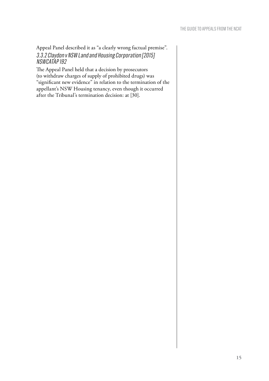Appeal Panel described it as "a clearly wrong factual premise". 3.3.2 Claydon v NSW Land and Housing Corporation [2015] NSWCATAP 192

The Appeal Panel held that a decision by prosecutors (to withdraw charges of supply of prohibited drugs) was "significant new evidence" in relation to the termination of the appellant's NSW Housing tenancy, even though it occurred after the Tribunal's termination decision: at [30].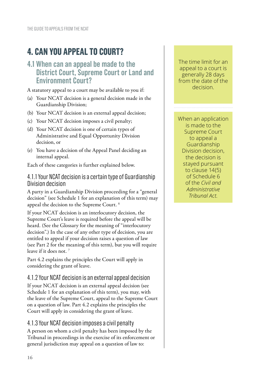# **4. CAN YOU APPEAL TO COURT?**

## **4.1 When can an appeal be made to the District Court, Supreme Court or Land and Environment Court?**

A statutory appeal to a court may be available to you if:

- (a) Your NCAT decision is a general decision made in the Guardianship Division;
- (b) Your NCAT decision is an external appeal decision;
- (c) Your NCAT decision imposes a civil penalty;
- (d) Your NCAT decision is one of certain types of Administrative and Equal Opportunity Division decision, or
- (e) You have a decision of the Appeal Panel deciding an internal appeal.

Each of these categories is further explained below.

#### 4.1.1 Your NCAT decision is a certain type of Guardianship Division decision

A party in a Guardianship Division proceeding for a "general decision" (see Schedule 1 for an explanation of this term) may appeal the decision to the Supreme Court. <sup>6</sup>

If your NCAT decision is an interlocutory decision, the Supreme Court's leave is required before the appeal will be heard. (See the Glossary for the meaning of "interlocutory decision".) In the case of any other type of decision, you are entitled to appeal if your decision raises a question of law (see Part 2 for the meaning of this term), but you will require leave if it does not. <sup>7</sup>

Part 4.2 explains the principles the Court will apply in considering the grant of leave.

#### 4.1.2 Your NCAT decision is an external appeal decision

If your NCAT decision is an external appeal decision (see Schedule 1 for an explanation of this term), you may, with the leave of the Supreme Court, appeal to the Supreme Court on a question of law. Part 4.2 explains the principles the Court will apply in considering the grant of leave.

#### 4.1.3 Your NCAT decision imposes a civil penalty

A person on whom a civil penalty has been imposed by the Tribunal in proceedings in the exercise of its enforcement or general jurisdiction may appeal on a question of law to:

The time limit for an appeal to a court is generally 28 days from the date of the decision.

When an application is made to the Supreme Court to appeal a Guardianship Division decision, the decision is stayed pursuant to clause 14(5) of Schedule 6 of the *Civil and Administrative Tribunal Act.*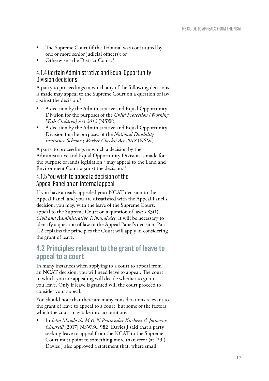- The Supreme Court (if the Tribunal was constituted by one or more senior judicial officers); or
- • Otherwise the District Court. 8

#### 4.1.4 Certain Administrative and Equal Opportunity Division decisions

A party to proceedings in which any of the following decisions is made may appeal to the Supreme Court on a question of law against the decision: 9

- A decision by the Administrative and Equal Opportunity Division for the purposes of the *Child Protection (Working With Children) Act 2012* (NSW) *;*
- A decision by the Administrative and Equal Opportunity Division for the purposes of the *National Disability Insurance Scheme (Worker Checks) Act 2018* (NSW) *.*

A party to proceedings in which a decision by the Administrative and Equal Opportunity Division is made for the purpose of lands legislation<sup>10</sup> may appeal to the Land and Environment Court against the decision.<sup>11</sup>

#### 4.1.5 You wish to appeal a decision of the Appeal Panel on an internal appeal

If you have already appealed your NCAT decision to the Appeal Panel, and you are dissatisfied with the Appeal Panel's decision, you may, with the leave of the Supreme Court, appeal to the Supreme Court on a question of law: s 83(1), *Civil and Administrative Tribunal Act*. It will be necessary to identify a question of law in the Appeal Panel's decision. Part 4.2 explains the principles the Court will apply in considering the grant of leave.

## **4.2 Principles relevant to the grant of leave to appeal to a court**

In many instances when applying to a court to appeal from an NCAT decision, you will need leave to appeal. The court to which you are appealing will decide whether to grant you leave. Only if leave is granted will the court proceed to consider your appeal.

You should note that there are many considerations relevant to the grant of leave to appeal to a court, but some of the factors which the court may take into account are:

In *John Maiolo tla M & N Peninsular Kitchens & Joinery v Chiarelli* [2017] NSWSC 982, Davies J said that a party seeking leave to appeal from the NCAT to the Supreme Court must point to something more than error (at [29]). Davies J also approved a statement that, where small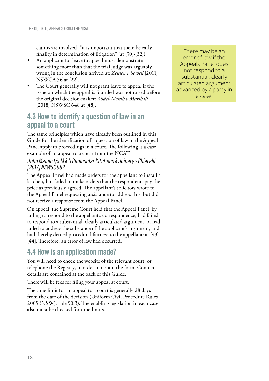claims are involved, "it is important that there be early finality in determination of litigation" (at [30]-[32]).

- An applicant for leave to appeal must demonstrate something more than that the trial judge was arguably wrong in the conclusion arrived at: *Zelden v Sewell* [2011] NSWCA 56 at [22].
- The Court generally will not grant leave to appeal if the issue on which the appeal is founded was not raised before the original decision-maker: *Abdel-Messih v Marshall*  [2018] NSWSC 648 at [48].

## **4.3 How to identify a question of law in an appeal to a court**

The same principles which have already been outlined in this Guide for the identification of a question of law in the Appeal Panel apply to proceedings in a court. The following is a case example of an appeal to a court from the NCAT.

#### John Maiolo t/a M & N Peninsular Kitchens & Joinery v Chiarelli [2017] NSWSC 982

The Appeal Panel had made orders for the appellant to install a kitchen, but failed to make orders that the respondents pay the price as previously agreed. The appellant's solicitors wrote to the Appeal Panel requesting assistance to address this, but did not receive a response from the Appeal Panel.

On appeal, the Supreme Court held that the Appeal Panel, by failing to respond to the appellant's correspondence, had failed to respond to a substantial, clearly articulated argument, or had failed to address the substance of the applicant's argument, and had thereby denied procedural fairness to the appellant: at [43]- [44]. Therefore, an error of law had occurred.

## **4.4 How is an application made?**

You will need to check the website of the relevant court, or telephone the Registry, in order to obtain the form. Contact details are contained at the back of this Guide.

There will be fees for filing your appeal at court.

The time limit for an appeal to a court is generally 28 days from the date of the decision (Uniform Civil Procedure Rules 2005 (NSW), rule 50.3). The enabling legislation in each case also must be checked for time limits.

There may be an error of law if the Appeals Panel does not respond to a substantial, clearly articulated argument advanced by a party in a case.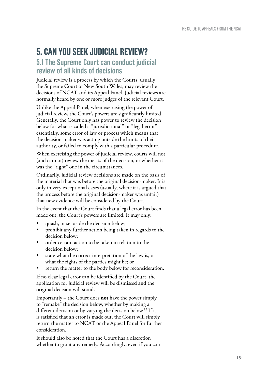# **5. CAN YOU SEEK JUDICIAL REVIEW?**

## **5.1 The Supreme Court can conduct judicial review of all kinds of decisions**

Judicial review is a process by which the Courts, usually the Supreme Court of New South Wales, may review the decisions of NCAT and its Appeal Panel. Judicial reviews are normally heard by one or more judges of the relevant Court.

Unlike the Appeal Panel, when exercising the power of judicial review, the Court's powers are significantly limited. Generally, the Court only has power to review the decision below for what is called a "jurisdictional" or "legal error" essentially, some error of law or process which means that the decision-maker was acting outside the limits of their authority, or failed to comply with a particular procedure.

When exercising the power of judicial review, courts will not (and cannot) review the merits of the decision, or whether it was the "right" one in the circumstances.

Ordinarily, judicial review decisions are made on the basis of the material that was before the original decision-maker. It is only in very exceptional cases (usually, where it is argued that the process before the original decision-maker was unfair) that new evidence will be considered by the Court.

In the event that the Court finds that a legal error has been made out, the Court's powers are limited. It may only:

- quash, or set aside the decision below;
- prohibit any further action being taken in regards to the decision below;
- order certain action to be taken in relation to the decision below;
- state what the correct interpretation of the law is, or what the rights of the parties might be; or
- return the matter to the body below for reconsideration.

If no clear legal error can be identified by the Court, the application for judicial review will be dismissed and the original decision will stand.

Importantly – the Court does **not** have the power simply to "remake" the decision below, whether by making a different decision or by varying the decision below.12 If it is satisfied that an error is made out, the Court will simply return the matter to NCAT or the Appeal Panel for further consideration.

It should also be noted that the Court has a discretion whether to grant any remedy. Accordingly, even if you can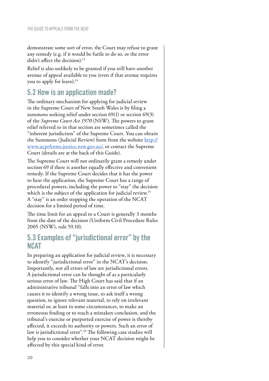demonstrate some sort of error, the Court may refuse to grant any remedy (e.g. if it would be futile to do so, or the error didn't affect the decision).<sup>13</sup>

Relief is also unlikely to be granted if you still have another avenue of appeal available to you (even if that avenue requires you to apply for leave).<sup>14</sup>

# **5.2 How is an application made?**

The ordinary mechanism for applying for judicial review in the Supreme Court of New South Wales is by filing a summons seeking relief under section 69(1) or section 69(3) of the *Supreme Court Act 1970* (NSW). The powers to grant relief referred to in that section are sometimes called the "inherent jurisdiction" of the Supreme Court. You can obtain the Summons (Judicial Review) form from the website http:// www.ucprforms.justice.nsw.gov.au/, or contact the Supreme Court (details are at the back of this Guide).

The Supreme Court will not ordinarily grant a remedy under section 69 if there is another equally effective and convenient remedy. If the Supreme Court decides that it has the power to hear the application, the Supreme Court has a range of procedural powers, including the power to "stay" the decision which is the subject of the application for judicial review.<sup>15</sup> A "stay" is an order stopping the operation of the NCAT decision for a limited period of time.

The time limit for an appeal to a Court is generally 3 months from the date of the decision (Uniform Civil Procedure Rules 2005 (NSW), rule 59.10).

## **5.3 Examples of "jurisdictional error" by the NCAT**

In preparing an application for judicial review, it is necessary to identify "jurisdictional error" in the NCAT's decision. Importantly, not all errors of law are jurisdictional errors. A jurisdictional error can be thought of as a particularly serious error of law. The High Court has said that if an administrative tribunal "falls into an error of law which causes it to identify a wrong issue, to ask itself a wrong question, to ignore relevant material, to rely on irrelevant material or, at least in some circumstances, to make an erroneous finding or to reach a mistaken conclusion, and the tribunal's exercise or purported exercise of power is thereby affected, it exceeds its authority or powers. Such an error of law is jurisdictional error".16 The following case studies will help you to consider whether your NCAT decision might be affected by this special kind of error.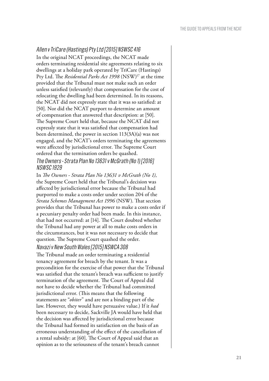#### Allen v TriCare (Hastings) Pty Ltd [2015] NSWSC 416

In the original NCAT proceedings, the NCAT made orders terminating residential site agreements relating to six dwellings at a holiday park operated by TriCare (Hastings) Pty Ltd. The *Residential Parks Act 1998* (NSW)17 at the time provided that the Tribunal must not make such an order unless satisfied (relevantly) that compensation for the cost of relocating the dwelling had been determined. In its reasons, the NCAT did not expressly state that it was so satisfied: at [50]. Nor did the NCAT purport to determine an amount of compensation that answered that description: at [50]. The Supreme Court held that, because the NCAT did not expressly state that it was satisfied that compensation had been determined, the power in section 113(3A)(a) was not engaged, and the NCAT's orders terminating the agreements were affected by jurisdictional error. The Supreme Court ordered that the termination orders be quashed.

#### The Owners - Strata Plan No 13631 v McGrath (No 1) [2016] NSWSC 1929

In *The Owners - Strata Plan No 13631 v McGrath (No 1)*, the Supreme Court held that the Tribunal's decision was affected by jurisdictional error because the Tribunal had purported to make a costs order under section 204 of the *Strata Schemes Management Act 1996* (NSW). That section provides that the Tribunal has power to make a costs order if a pecuniary penalty order had been made. In this instance, that had not occurred: at [14]. The Court doubted whether the Tribunal had any power at all to make costs orders in the circumstances, but it was not necessary to decide that question. The Supreme Court quashed the order. Navazi v New South Wales [2015] NSWCA 308

The Tribunal made an order terminating a residential tenancy agreement for breach by the tenant. It was a precondition for the exercise of that power that the Tribunal was satisfied that the tenant's breach was sufficient to justify termination of the agreement. The Court of Appeal did not have to decide whether the Tribunal had committed jurisdictional error. (This means that the following statements are "*obiter*" and are not a binding part of the law. However, they would have persuasive value.) If it *had*  been necessary to decide, Sackville JA would have held that the decision was affected by jurisdictional error because the Tribunal had formed its satisfaction on the basis of an erroneous understanding of the effect of the cancellation of a rental subsidy: at [60]. The Court of Appeal said that an opinion as to the seriousness of the tenant's breach cannot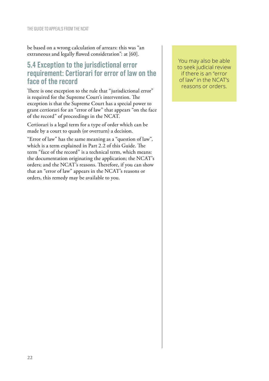be based on a wrong calculation of arrears: this was "an extraneous and legally flawed consideration": at [60].

## **5.4 Exception to the jurisdictional error requirement: Certiorari for error of law on the face of the record**

There is one exception to the rule that "jurisdictional error" is required for the Supreme Court's intervention. The exception is that the Supreme Court has a special power to grant certiorari for an "error of law" that appears "on the face of the record" of proceedings in the NCAT.

Certiorari is a legal term for a type of order which can be made by a court to quash (or overturn) a decision.

"Error of law" has the same meaning as a "question of law", which is a term explained in Part 2.2 of this Guide. The term "face of the record" is a technical term, which means: the documentation originating the application; the NCAT's orders; and the NCAT's reasons. Therefore, if you can show that an "error of law" appears in the NCAT's reasons or orders, this remedy may be available to you.

You may also be able to seek judicial review if there is an "error of law" in the NCAT's reasons or orders.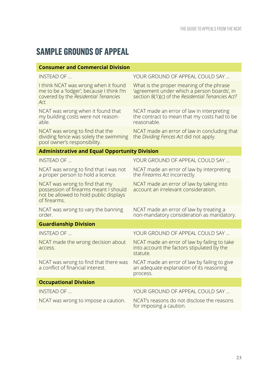# **SAMPLE GROUNDS OF APPEAL**

| <b>Consumer and Commercial Division</b>                                                                                           |                                                                                                                                              |
|-----------------------------------------------------------------------------------------------------------------------------------|----------------------------------------------------------------------------------------------------------------------------------------------|
| INSTEAD OF                                                                                                                        | YOUR GROUND OF APPEAL COULD SAY                                                                                                              |
| I think NCAT was wrong when it found<br>me to be a 'lodger', because I think I'm<br>covered by the Residential Tenancies<br>Act.  | What is the proper meaning of the phrase<br>'agreement under which a person boards', in<br>section 8(1)(c) of the Residential Tenancies Act? |
| NCAT was wrong when it found that<br>my building costs were not reason-<br>able.                                                  | NCAT made an error of law in interpreting<br>the contract to mean that my costs had to be<br>reasonable.                                     |
| NCAT was wrong to find that the<br>dividing fence was solely the swimming<br>pool owner's responsibility.                         | NCAT made an error of law in concluding that<br>the Dividing Fences Act did not apply.                                                       |
| <b>Administrative and Equal Opportunity Division</b>                                                                              |                                                                                                                                              |
| <b>INSTEAD OF </b>                                                                                                                | YOUR GROUND OF APPEAL COULD SAY                                                                                                              |
| NCAT was wrong to find that I was not<br>a proper person to hold a licence.                                                       | NCAT made an error of law by interpreting<br>the Firearms Act incorrectly.                                                                   |
| NCAT was wrong to find that my<br>possession of firearms meant I should<br>not be allowed to hold public displays<br>of firearms. | NCAT made an error of law by taking into<br>account an irrelevant consideration.                                                             |
| NCAT was wrong to vary the banning<br>order.                                                                                      | NCAT made an error of law by treating a<br>non-mandatory consideration as mandatory.                                                         |
| <b>Guardianship Division</b>                                                                                                      |                                                                                                                                              |
| INSTEAD OF                                                                                                                        | YOUR GROUND OF APPEAL COULD SAY                                                                                                              |
| NCAT made the wrong decision about<br>access.                                                                                     | NCAT made an error of law by failing to take<br>into account the factors stipulated by the<br>statute.                                       |
| NCAT was wrong to find that there was<br>a conflict of financial interest.                                                        | NCAT made an error of law by failing to give<br>an adequate explanation of its reasoning<br>process.                                         |
| <b>Occupational Division</b>                                                                                                      |                                                                                                                                              |
| INSTEAD OF                                                                                                                        | YOUR GROUND OF APPEAL COULD SAY                                                                                                              |
| NCAT was wrong to impose a caution.                                                                                               | NCAT's reasons do not disclose the reasons<br>for imposing a caution.                                                                        |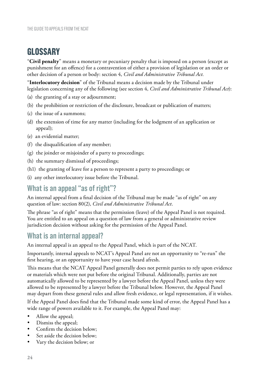# **GLOSSARY**

"**Civil penalty**" means a monetary or pecuniary penalty that is imposed on a person (except as punishment for an offence) for a contravention of either a provision of legislation or an order or other decision of a person or body: section 4, *Civil and Administrative Tribunal Act.*

"**Interlocutory decision**" of the Tribunal means a decision made by the Tribunal under legislation concerning any of the following (see section 4, *Civil and Administrative Tribunal Act*):

- (a) the granting of a stay or adjournment;
- (b) the prohibition or restriction of the disclosure, broadcast or publication of matters;
- (c) the issue of a summons;
- (d) the extension of time for any matter (including for the lodgment of an application or appeal);
- (e) an evidential matter;
- (f) the disqualification of any member;
- (g) the joinder or misjoinder of a party to proceedings;
- (h) the summary dismissal of proceedings;
- (h1) the granting of leave for a person to represent a party to proceedings; or
- (i) any other interlocutory issue before the Tribunal.

## **What is an appeal "as of right"?**

An internal appeal from a final decision of the Tribunal may be made "as of right" on any question of law: section 80(2), *Civil and Administrative Tribunal Act*.

The phrase "as of right" means that the permission (leave) of the Appeal Panel is not required. You are entitled to an appeal on a question of law from a general or administrative review jurisdiction decision without asking for the permission of the Appeal Panel.

## **What is an internal appeal?**

An internal appeal is an appeal to the Appeal Panel, which is part of the NCAT.

Importantly, internal appeals to NCAT's Appeal Panel are not an opportunity to "re-run" the first hearing, or an opportunity to have your case heard afresh.

This means that the NCAT Appeal Panel generally does not permit parties to rely upon evidence or materials which were not put before the original Tribunal. Additionally, parties are not automatically allowed to be represented by a lawyer before the Appeal Panel, unless they were allowed to be represented by a lawyer before the Tribunal below. However, the Appeal Panel may depart from these general rules and allow fresh evidence, or legal representation, if it wishes.

If the Appeal Panel does find that the Tribunal made some kind of error, the Appeal Panel has a wide range of powers available to it. For example, the Appeal Panel may:

- Allow the appeal;
- • Dismiss the appeal;
- Confirm the decision below;
- Set aside the decision below;
- Vary the decision below; or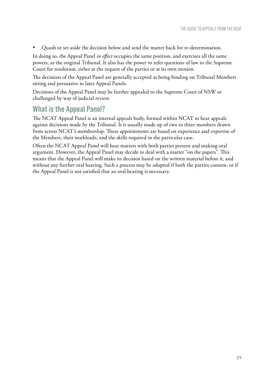• Quash or set aside the decision below and send the matter back for re-determination.

In doing so, the Appeal Panel *in effect* occupies the same position, and exercises all the same powers, as the original Tribunal. It also has the power to refer questions of law to the Supreme Court for resolution, either at the request of the parties or at its own motion.

The decisions of the Appeal Panel are generally accepted as being binding on Tribunal Members sitting and persuasive to later Appeal Panels.

Decisions of the Appeal Panel may be further appealed to the Supreme Court of NSW or challenged by way of judicial review.

## **What is the Appeal Panel?**

The NCAT Appeal Panel is an internal appeals body, formed within NCAT to hear appeals against decisions made by the Tribunal. It is usually made up of two to three members drawn from across NCAT's membership. These appointments are based on experience and expertise of the Members, their workloads, and the skills required in the particular case.

Often the NCAT Appeal Panel will hear matters with both parties present and making oral argument. However, the Appeal Panel may decide to deal with a matter "on the papers". This means that the Appeal Panel will make its decision based on the written material before it, and without any further oral hearing. Such a process may be adopted if both the parties consent, or if the Appeal Panel is not satisfied that an oral hearing is necessary.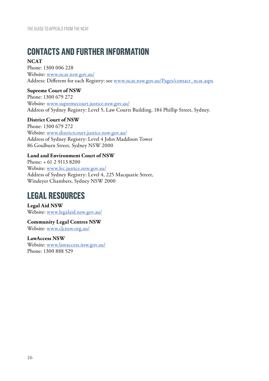# **CONTACTS AND FURTHER INFORMATION**

#### **NCAT**

Phone: 1300 006 228 Website: www.ncat.nsw.gov.au/ Address: Different for each Registry: see www.ncat.nsw.gov.au/Pages/contact\_ncat.aspx

#### **Supreme Court of NSW**

Phone: 1300 679 272 Website: www.supremecourt.justice.nsw.gov.au/ Address of Sydney Registry: Level 5, Law Courts Building, 184 Phillip Street, Sydney.

#### **District Court of NSW**

Phone: 1300 679 272 Website: www.districtcourt.justice.nsw.gov.au/ Address of Sydney Registry: Level 4 John Maddison Tower 86 Goulburn Street, Sydney NSW 2000

#### **Land and Environment Court of NSW**

Phone: + 61 2 9113 8200 Website: www.lec.justice.nsw.gov.au/ Address of Sydney Registry: Level 4, 225 Macquarie Street, Windeyer Chambers, Sydney NSW 2000

# **LEGAL RESOURCES**

**Legal Aid NSW** Website: www.legalaid.nsw.gov.au/

**Community Legal Centres NSW** Website: www.clcnsw.org.au/

**LawAccess NSW** Website: www.lawaccess.nsw.gov.au/ Phone: 1300 888 529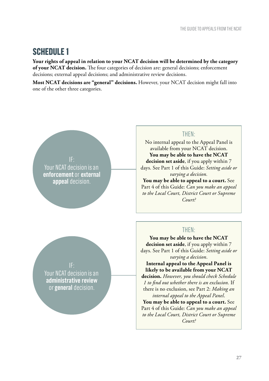# **SCHEDULE 1**

**Your rights of appeal in relation to your NCAT decision will be determined by the category of your NCAT decision.** The four categories of decision are: general decisions; enforcement decisions; external appeal decisions; and administrative review decisions.

**Most NCAT decisions are "general" decisions.** However, your NCAT decision might fall into one of the other three categories.

Your NCAT decision is an **enforcement** or **external appeal** decision.

#### THEN:

No internal appeal to the Appeal Panel is available from your NCAT decision. **You may be able to have the NCAT decision set aside**, if you apply within 7 days. See Part 1 of this Guide: *Setting aside or varying a decision.*

**You may be able to appeal to a court.** See Part 4 of this Guide: *Can you make an appeal to the Local Court, District Court or Supreme Court?*

#### THEN:

**You may be able to have the NCAT decision set aside**, if you apply within 7 days. See Part 1 of this Guide: *Setting aside or varying a decision*.

**Internal appeal to the Appeal Panel is likely to be available from your NCAT decision.** *However, you should check Schedule 1 to find out whether there is an exclusion.* If there is no exclusion, see Part 2: *Making an internal appeal to the Appeal Panel*.

**You may be able to appeal to a court.** See Part 4 of this Guide: *Can you make an appeal to the Local Court, District Court or Supreme Court?*

Your NCAT decision is an **administrative review** or **general** decision.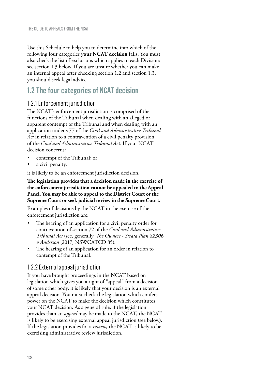Use this Schedule to help you to determine into which of the following four categories **your NCAT decision** falls. You must also check the list of exclusions which applies to each Division: see section 1.3 below. If you are unsure whether you can make an internal appeal after checking section 1.2 and section 1.3, you should seek legal advice.

# **1.2 The four categories of NCAT decision**

#### 1.2.1 Enforcement jurisdiction

The NCAT's enforcement jurisdiction is comprised of the functions of the Tribunal when dealing with an alleged or apparent contempt of the Tribunal and when dealing with an application under s 77 of the *Civil and Administrative Tribunal Act* in relation to a contravention of a civil penalty provision of the *Civil and Administrative Tribunal Act.* If your NCAT decision concerns:

- contempt of the Tribunal; or
- a civil penalty,

it is likely to be an enforcement jurisdiction decision.

#### **The legislation provides that a decision made in the exercise of the enforcement jurisdiction cannot be appealed to the Appeal Panel. You may be able to appeal to the District Court or the Supreme Court or seek judicial review in the Supreme Court.**

Examples of decisions by the NCAT in the exercise of the enforcement jurisdiction are:

- The hearing of an application for a civil penalty order for contravention of section 72 of the *Civil and Administrative Tribunal Act* (see, generally, *The Owners - Strata Plan 82306 v Anderson* [2017] NSWCATCD 85).
- The hearing of an application for an order in relation to contempt of the Tribunal.

#### 1.2.2 External appeal jurisdiction

If you have brought proceedings in the NCAT based on legislation which gives you a right of "appeal" from a decision of some other body, it is likely that your decision is an external appeal decision. You must check the legislation which confers power on the NCAT to make the decision which constitutes your NCAT decision. As a general rule, if the legislation provides than an *appeal* may be made to the NCAT, the NCAT is likely to be exercising external appeal jurisdiction (see below). If the legislation provides for a *review,* the NCAT is likely to be exercising administrative review jurisdiction.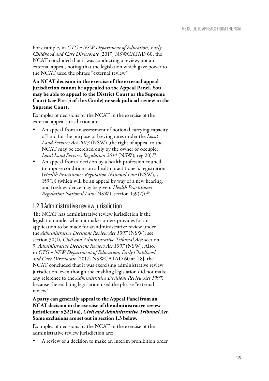For example, in *CTG v NSW Department of Education, Early Childhood and Care Directorate* [2017] NSWCATAD 60, the NCAT concluded that it was conducting a review, not an external appeal, noting that the legislation which gave power to the NCAT used the phrase "external review".

#### **An NCAT decision in the exercise of the external appeal jurisdiction cannot be appealed to the Appeal Panel. You may be able to appeal to the District Court or the Supreme Court (see Part 5 of this Guide) or seek judicial review in the Supreme Court.**

Examples of decisions by the NCAT in the exercise of the external appeal jurisdiction are:

- An appeal from an assessment of notional carrying capacity of land for the purpose of levying rates under the *Local Land Services Act 2013* (NSW) (the right of appeal to the NCAT may be exercised only by the owner or occupier: Local Land Services Regulation 2014 (NSW), reg 20).<sup>19</sup>
- An appeal from a decision by a health profession council to impose conditions on a health practitioner's registration (*Health Practitioner Regulation National Law* (NSW), s 159(1)) (which will be an appeal by way of a new hearing, and fresh evidence may be given: *Health Practitioner Regulation National Law* (NSW), section 159(2)).20

#### 1.2.3 Administrative review jurisdiction

The NCAT has administrative review jurisdiction if the legislation under which it makes orders provides for an application to be made for an administrative review under the *Administrative Decisions Review Act 1997* (NSW): see section 30(1), *Civil and Administrative Tribunal Act;* section 9, *Administrative Decisions Review Act 1997* (NSW). Also, in *CTG v NSW Department of Education, Early Childhood and Care Directorate* [2017] NSWCATAD 60 at [18], the NCAT concluded that it was exercising administrative review jurisdiction, even though the enabling legislation did not make any reference to the *Administrative Decisions Review Act 1997,*  because the enabling legislation used the phrase "external review".

#### **A party can generally appeal to the Appeal Panel from an NCAT decision in the exercise of the administrative review jurisdiction: s 32(1)(a),** *Civil and Administrative Tribunal Act.*  **Some exclusions are set out in section 1.3 below.**

Examples of decisions by the NCAT in the exercise of the administrative review jurisdiction are:

A review of a decision to make an interim prohibition order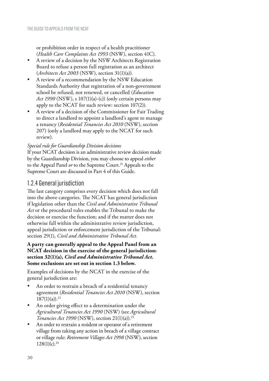or prohibition order in respect of a health practitioner (*Health Care Complaints Act 1993* (NSW), section 41C).

- A review of a decision by the NSW Architects Registration Board to refuse a person full registration as an architect (*Architects Act 2003* (NSW), section 31(1)(a)).
- A review of a recommendation by the NSW Education Standards Authority that registration of a non-government school be refused, not renewed, or cancelled (*Education Act 1990* (NSW), s 107(1)(a)-(c)) (only certain persons may apply to the NCAT for such review: section 107(2)).
- A review of a decision of the Commissioner for Fair Trading to direct a landlord to appoint a landlord's agent to manage a tenancy (*Residential Tenancies Act 2010* (NSW), section 207) (only a landlord may apply to the NCAT for such review).

#### *Special rule for Guardianship Division decisions*

If your NCAT decision is an administrative review decision made by the Guardianship Division, you may choose to appeal *either* to the Appeal Panel *or* to the Supreme Court.<sup>21</sup> Appeals to the Supreme Court are discussed in Part 4 of this Guide.

#### 1.2.4 General jurisdiction

The last category comprises every decision which does not fall into the above categories. The NCAT has general jurisdiction if legislation other than the *Civil and Administrative Tribunal Act* or the procedural rules enables the Tribunal to make the decision or exercise the function; and if the matter does not otherwise fall within the administrative review jurisdiction, appeal jurisdiction or enforcement jurisdiction of the Tribunal: section 29(1), *Civil and Administrative Tribunal Act.*

**A party can generally appeal to the Appeal Panel from an NCAT decision in the exercise of the general jurisdiction: section 32(1)(a),** *Civil and Administrative Tribunal Act.*  **Some exclusions are set out in section 1.3 below.**

Examples of decisions by the NCAT in the exercise of the general jurisdiction are:

- An order to restrain a breach of a residential tenancy agreement (*Residential Tenancies Act 2010* (NSW), section  $187(1)(a)$ .<sup>22</sup>
- An order giving effect to a determination under the *Agricultural Tenancies Act 1990* (NSW) (see *Agricultural Tenancies Act 1990* (NSW), section 21(1)(a)).23
- An order to restrain a resident or operator of a retirement village from taking any action in breach of a village contract or village rule: *Retirement Villages Act 1998* (NSW), section  $128(1)(c).^{24}$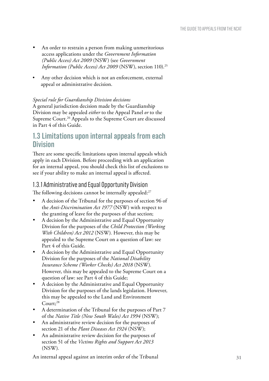- An order to restrain a person from making unmeritorious access applications under the *Government Information (Public Access) Act 2009* (NSW) (see *Government Information (Public Access) Act 2009* (NSW), section 110).<sup>25</sup>
- Any other decision which is not an enforcement, external appeal or administrative decision.

#### *Special rule for Guardianship Division decisions*

A general jurisdiction decision made by the Guardianship Division may be appealed *either* to the Appeal Panel *or* to the Supreme Court.<sup>26</sup> Appeals to the Supreme Court are discussed in Part 4 of this Guide.

## **1.3 Limitations upon internal appeals from each Division**

There are some specific limitations upon internal appeals which apply in each Division. Before proceeding with an application for an internal appeal, you should check this list of exclusions to see if your ability to make an internal appeal is affected.

## 1.3.1 Administrative and Equal Opportunity Division

The following decisions cannot be internally appealed:<sup>27</sup>

- A decision of the Tribunal for the purposes of section 96 of the *Anti-Discrimination Act 1977* (NSW) with respect to the granting of leave for the purposes of that section;
- A decision by the Administrative and Equal Opportunity Division for the purposes of the *Child Protection (Working With Children) Act 2012* (NSW) *.* However, this may be appealed to the Supreme Court on a question of law: see Part 4 of this Guide.
- A decision by the Administrative and Equal Opportunity Division for the purposes of the *National Disability Insurance Scheme (Worker Checks) Act 2018* (NSW) *.* However, this may be appealed to the Supreme Court on a question of law: see Part 4 of this Guide;
- A decision by the Administrative and Equal Opportunity Division for the purposes of the lands legislation. However, this may be appealed to the Land and Environment  $C_{\text{out}}$ <sup>28</sup>
- A determination of the Tribunal for the purposes of Part 7 of the *Native Title (New South Wales) Act 1994* (NSW);
- An administrative review decision for the purposes of section 21 of the *Plant Diseases Act 1924* (NSW);
- An administrative review decision for the purposes of section 51 of the *Victims Rights and Support Act 2013* (NSW) *.*

An internal appeal against an interim order of the Tribunal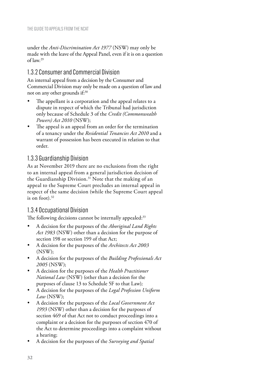under the *Anti-Discrimination Act 1977* (NSW) may only be made with the leave of the Appeal Panel, even if it is on a question of law.29

#### 1.3.2 Consumer and Commercial Division

An internal appeal from a decision by the Consumer and Commercial Division may only be made on a question of law and not on any other grounds if:<sup>30</sup>

- The appellant is a corporation and the appeal relates to a dispute in respect of which the Tribunal had jurisdiction only because of Schedule 3 of the *Credit (Commonwealth Powers) Act 2010* (NSW);
- The appeal is an appeal from an order for the termination of a tenancy under the *Residential Tenancies Act 2010* and a warrant of possession has been executed in relation to that order.

#### 1.3.3 Guardianship Division

As at November 2019 there are no exclusions from the right to an internal appeal from a general jurisdiction decision of the Guardianship Division.<sup>31</sup> Note that the making of an appeal to the Supreme Court precludes an internal appeal in respect of the same decision (while the Supreme Court appeal is on foot). $32$ 

#### 1.3.4 Occupational Division

The following decisions cannot be internally appealed:<sup>33</sup>

- • A decision for the purposes of the *Aboriginal Land Rights Act 1983* (NSW) other than a decision for the purpose of section 198 or section 199 of that Act;
- A decision for the purposes of the *Architects Act 2003* (NSW);
- A decision for the purposes of the *Building Professionals Act 2005* (NSW);
- A decision for the purposes of the *Health Practitioner National Law* (NSW) (other than a decision for the purposes of clause 13 to Schedule 5F to that Law)*;*
- A decision for the purposes of the *Legal Profession Uniform Law* (NSW);
- A decision for the purposes of the *Local Government Act 1993* (NSW) other than a decision for the purposes of section 469 of that Act not to conduct proceedings into a complaint or a decision for the purposes of section 470 of the Act to determine proceedings into a complaint without a hearing;
- A decision for the purposes of the *Surveying and Spatial*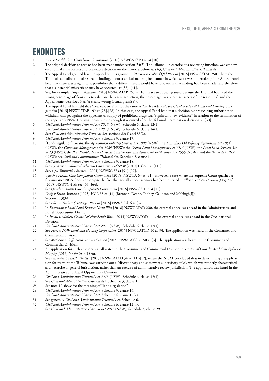# **ENDNOTES**

- 1. *Kaye v Health Care Complaints Commission* [2018] NSWCATAP 146 at [10].<br>2. The original decision to revoke had been made under section 24(2). The Trib
- 2. The original decision to revoke had been made under section 24(2). The Tribunal, in exercise of a reviewing function, was empowered to make the correct and preferable decision on the material before it: s 63, *Civil and Administrative Tribunal Act.*
- 3. The Appeal Panel granted leave to appeal on this ground in *Thiessen v Poolsurf Qld Pty Ltd* [2015] NSWCATAP 250*.* There the Tribunal had failed to make specific findings about a critical matter (the manner in which work was undertaken). The Appeal Panel held that there was a significant possibility that a different result would have followed if that finding had been made, and therefore that a substantial miscarriage may have occurred: at [38]; [41].
- 4. See, for example, *Hayes v Williams* [2015] NSWCATAP 268 at [16] (leave to appeal granted because the Tribunal had used the wrong percentage of floor area to calculate the a rent reduction; the percentage was "a central aspect of the reasoning" and the Appeal Panel described it as "a clearly wrong factual premise").
- 5. The Appeal Panel has held that "new evidence" is not the same as "fresh evidence": see *Claydon v NSW Land and Housing Corporation* [2015] NSWCATAP 192 at [25]-[28]. In that case, the Appeal Panel held that a decision by prosecuting authorities to withdraw charges against the appellant of supply of prohibited drugs was "significant new evidence" in relation to the termination of the appellant's NSW Housing tenancy, even though it occurred after the Tribunal's termination decision: at [30].
- 6. *Civil and Administrative Tribunal Act 2013* (NSW), Schedule 6, clause 12(1).
- 7. *Civil and Administrative Tribunal Act 2013* (NSW), Schedule 6, clause 14(1).<br>8. See: *Civil and Administrative Tribunal Act.* sections 82(3) and 83(2).
- 8. See: *Civil and Administrative Tribunal Act, sections* 82(3) and 83(2).<br>9. *Civil and Administrative Tribunal Act*, Schedule 3, clause 17.
- 9. *Civil and Administrative Tribunal Act,* Schedule 3, clause 17.
- 10. "Lands legislation" means: the *Agricultural Industry Services Act 1998* (NSW)*;* the *Australian Oil Refining Agreements Act 1954*  (NSW)*;* the *Commons Management Act 1989* (NSW)*;* the *Crown Land Management Act 2016* (NSW)*;* the *Local Land Services Act 2013* (NSW)*;* the *Port Kembla Inner Harbour Construction and Agreement Ratification Act 1955* (NSW)*;* and the *Water Act 1912*  (NSW): see *Civil and Administrative Tribunal Act,* Schedule 3, clause 1*.*
- 11. *Civil and Administrative Tribunal Act,* Schedule 3, clause 18.
- 12. See e.g. *Kirk v Industrial Relations Commission of NSW* [2010] HCA 1 at [110].<br>13. See e.g. *Transgrid v Siemens* [2004] NSWSC 87 at [91]-[97]
- 13. See, e.g., *Transgrid v Siemens* [2004] NSWSC 87 at [91]-[97].
- 14. *Quach v Health Care Complaints Commission* [2015] NSWCA 63 at [51]. However, a case where the Supreme Court quashed a first-instance NCAT decision despite the fact that not all appeal avenues had been pursued is *Allen v TriCare (Hastings) Pty Ltd*  [2015] NSWSC 416: see [56]-[64].
- 15. See *Quach v Health Care Complaints Commission* [2015] NSWCA 187 at [11].<br>16. Craig v South Australia [1995] HCA 58 at [14] (Brennan, Deane Toobey, Gau
- 16. *Craig v South Australia* [1995] HCA 58 at [14] (Brennan, Deane, Toohey, Gaudron and McHugh JJ).
- 17. Section 113(3A).<br>18 See Allen v TriCa
- 18. See *Allen v TriCare (Hastings) Pty Ltd* [2015] NSWSC 416 at [37].
- 19. In *Buchanan v Local Land Services North West* [2018] NSWCATAD 200, the external appeal was heard in the Administrative and Equal Opportunity Division.
- 20. In *Ismail v Medical Council of New South Wales* [2014] NSWCATOD 111, the external appeal was heard in the Occupational Division.
- 21. *Civil and Administrative Tribunal Act 2013* (NSW), Schedule 6, clause 12(1).<br>22. See Perez u NSW Land and Housing Corporation 120151 NSWCATCD 50 at
- See Perez v NSW Land and Housing Corporation [2015] NSWCATCD 50 at [3]. The application was heard in the Consumer and Commercial Division.
- 23. See *McCann v Coffs Harbour City Council* [2015] NSWCATCD 150 at [3]. The application was heard in the Consumer and Commercial Division.
- 24. An application for such an order was allocated to the Consumer and Commercial Division in *Trustees of Catholic Aged Care Sydney v Murphy* [2017] NSWCATCD 46.
- 25. See *Pittwater Council v Walker* [2015] NSWCATAD 34 at [11]-[12], where the NCAT concluded that in determining an application for restraint the Tribunal was carrying out a "discretionary and somewhat supervisory role", which was properly characterised as an exercise of general jurisdiction, rather than an exercise of administrative review jurisdiction. The application was heard in the Administrative and Equal Opportunity Division.
- 26. *Civil and Administrative Tribunal Act 2013* (NSW), Schedule 6, clause 12(1).<br>27 See Civil and Administrative Tribunal Act Schedule 3, clause 15
- 27. See *Civil and Administrative Tribunal Act*, Schedule 3, clause 15.<br>28 See note 10 above for the meaning of "lands legislation"
- *28.* See note 10 above for the meaning of "lands legislation"
- 29. *Civil and Administrative Tribunal Act,* Schedule 3, clause 16.
- 30. *Civil and Administrative Tribunal Act,* Schedule 4, clause 12(2).
- 31. See generally *Civil and Administrative Tribunal Act,* Schedule 6.
- 32. *Civil and Administrative Tribunal Act,* Schedule 6, clause 12(4).
- 33. See *Civil and Administrative Tribunal Act 2013* (NSW), Schedule 5, clause 29.